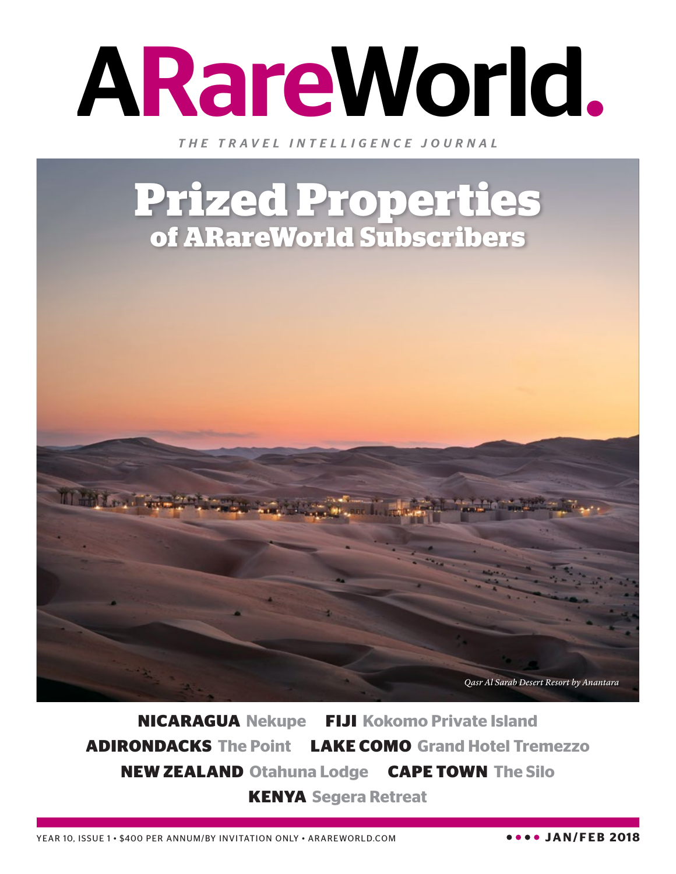

*THE TRAVEL INTELLIGENCE JOURNAL*

## **Prized Properties of ARareWorld Subscribers**



**NICARAGUA Nekupe FIJI Kokomo Private Island ADIRONDACKS The Point LAKE COMO Grand Hotel Tremezzo NEW ZEALAND Otahuna Lodge CAPE TOWN The Silo KENYA Segera Retreat**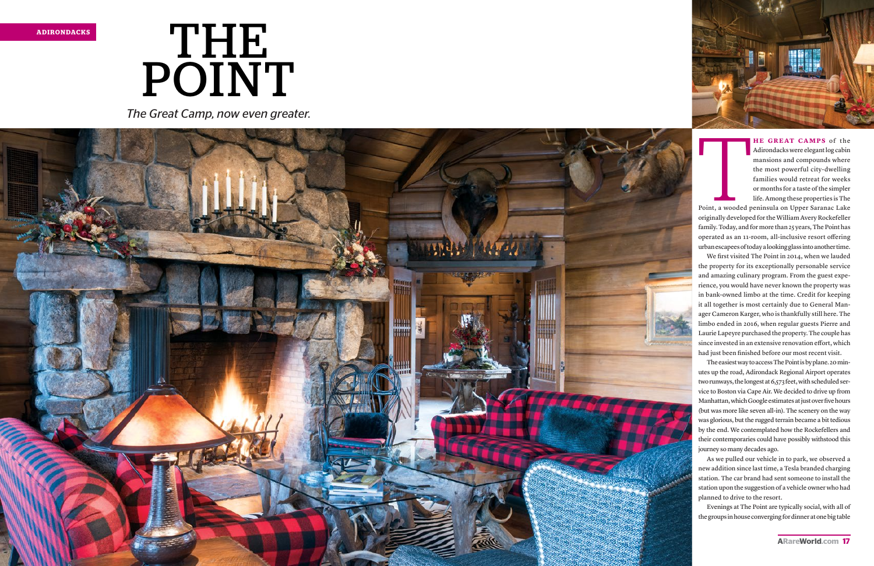



*The Great Camp, now even greater.*



**HE GREAT CAMPS** of the Adirondacks were elegant log cabin mansions and compounds where the most powerful city-dwelling families would retreat for weeks or months for a taste of the simpler life. Among these properties is The

Point, a wooded peninsula on Upper Saranac Lake originally developed for the William Avery Rockefeller family. Today, and for more than 25 years, The Point has operated as an 11-room, all-inclusive resort offering urban escapees of today a looking glass into another time.

We first visited The Point in 2014, when we lauded the property for its exceptionally personable service and amazing culinary program. From the guest expe rience, you would have never known the property was in bank-owned limbo at the time. Credit for keeping it all together is most certainly due to General Man ager Cameron Karger, who is thankfully still here. The limbo ended in 2016, when regular guests Pierre and Laurie Lapeyre purchased the property. The couple has since invested in an extensive renovation effort, which had just been finished before our most recent visit.

The easiest way to access The Point is by plane. 20 min utes up the road, Adirondack Regional Airport operates two runways, the longest at 6,573 feet, with scheduled ser vice to Boston via Cape Air. We decided to drive up from Manhattan, which Google estimates at just over five hours (but was more like seven all-in). The scenery on the way was glorious, but the rugged terrain became a bit tedious by the end. We contemplated how the Rockefellers and their contemporaries could have possibly withstood this journey so many decades ago.

As we pulled our vehicle in to park, we observed a new addition since last time, a Tesla branded charging station. The car brand had sent someone to install the station upon the suggestion of a vehicle owner who had planned to drive to the resort.

Evenings at The Point are typically social, with all of the groups in house converging for dinner at one big table